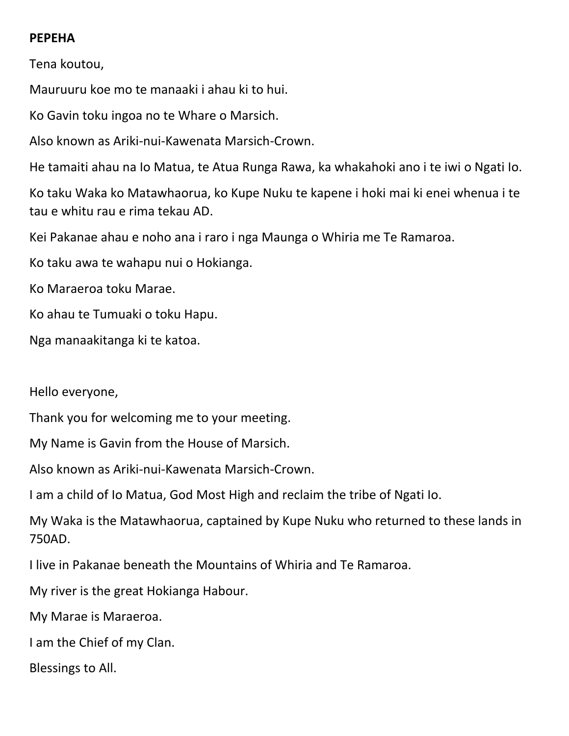## **PEPEHA**

Tena koutou,

Mauruuru koe mo te manaaki i ahau ki to hui.

Ko Gavin toku ingoa no te Whare o Marsich.

Also known as Ariki-nui-Kawenata Marsich-Crown.

He tamaiti ahau na Io Matua, te Atua Runga Rawa, ka whakahoki ano i te iwi o Ngati Io.

Ko taku Waka ko Matawhaorua, ko Kupe Nuku te kapene i hoki mai ki enei whenua i te tau e whitu rau e rima tekau AD.

Kei Pakanae ahau e noho ana i raro i nga Maunga o Whiria me Te Ramaroa.

Ko taku awa te wahapu nui o Hokianga.

Ko Maraeroa toku Marae.

Ko ahau te Tumuaki o toku Hapu.

Nga manaakitanga ki te katoa.

Hello everyone,

Thank you for welcoming me to your meeting.

My Name is Gavin from the House of Marsich.

Also known as Ariki-nui-Kawenata Marsich-Crown.

I am a child of Io Matua, God Most High and reclaim the tribe of Ngati Io.

My Waka is the Matawhaorua, captained by Kupe Nuku who returned to these lands in 750AD.

I live in Pakanae beneath the Mountains of Whiria and Te Ramaroa.

My river is the great Hokianga Habour.

My Marae is Maraeroa.

I am the Chief of my Clan.

Blessings to All.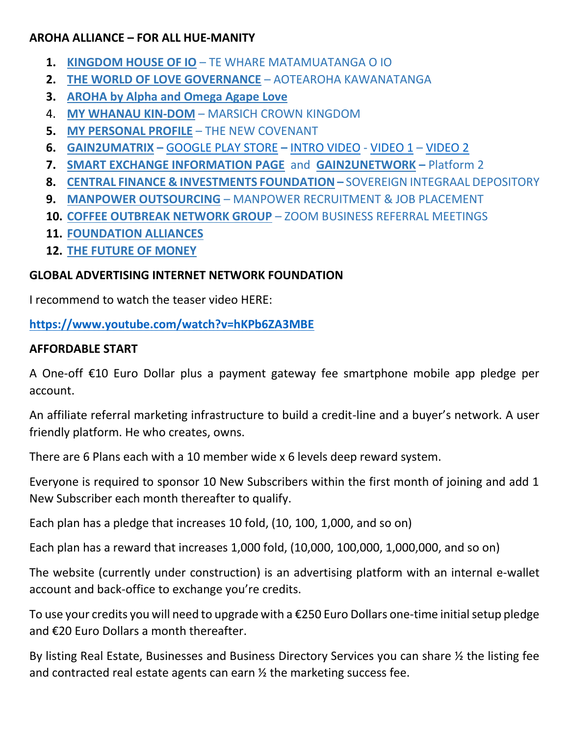### **AROHA ALLIANCE – FOR ALL HUE-MANITY**

- **1. [KINGDOM HOUSE OF IO](https://return-to-eden.weebly.com/)** TE WHARE MATAMUATANGA O IO
- **2. [THE WORLD OF LOVE GOVERNANCE](https://aotearoha-kawanatanga.weebly.com/)** AOTEAROHA KAWANATANGA
- **3. [AROHA by Alpha and Omega Agape Love](https://alpha-omega-agape-love.weebly.com/)**
- 4. **[MY WHANAU KIN-DOM](https://marsich-crown-kingdom.weebly.com/)** MARSICH CROWN KINGDOM
- **5. [MY PERSONAL PROFILE](https://gavinmarsich.weebly.com/)** THE NEW COVENANT
- **6. [GAIN2UMATRIX](https://www.gain2umatrix.com/) –** [GOOGLE PLAY STORE](https://play.google.com/store/apps/details?id=com.gain2umatrix) **–** [INTRO VIDEO](https://www.youtube.com/watch?v=VRMC-iKH_2M) [VIDEO](https://www.youtube.com/watch?v=ZeKqN8Nr_HQ&t=13s&ab_channel=GAIN2UNETWORK) 1 [VIDEO 2](https://www.youtube.com/watch?v=0HH6d4Ebc_g&t=9s&ab_channel=GAIN2UNETWORK)
- **7. [SMART EXCHANGE INFORMATION PAGE](https://smartexchange2020.weebly.com/)** and **[GAIN2UNETWORK](https://gain2unetwork.com/) –** Platform 2
- **8. [CENTRAL FINANCE & INVESTMENTS FOUNDATION](https://cfiltd.weebly.com/) –** SOVEREIGN INTEGRAAL DEPOSITORY
- **9. [MANPOWER OUTSOURCING](https://manpower-outsourcing.weebly.com/)** MANPOWER RECRUITMENT & JOB PLACEMENT
- **10. [COFFEE OUTBREAK NETWORK GROUP](http://nzcong.weebly.com/)** ZOOM BUSINESS REFERRAL MEETINGS
- **11. [FOUNDATION ALLIANCES](https://aotearoha-kawanatanga.weebly.com/uploads/1/3/2/7/132755040/foundation_alliances.pdf)**
- **12. [THE FUTURE OF MONEY](https://www.youtube.com/watch?v=ojMctyqwZG0&t=336s)**

## **GLOBAL ADVERTISING INTERNET NETWORK FOUNDATION**

I recommend to watch the teaser video HERE:

### **<https://www.youtube.com/watch?v=hKPb6ZA3MBE>**

### **AFFORDABLE START**

A One-off €10 Euro Dollar plus a payment gateway fee smartphone mobile app pledge per account.

An affiliate referral marketing infrastructure to build a credit-line and a buyer's network. A user friendly platform. He who creates, owns.

There are 6 Plans each with a 10 member wide x 6 levels deep reward system.

Everyone is required to sponsor 10 New Subscribers within the first month of joining and add 1 New Subscriber each month thereafter to qualify.

Each plan has a pledge that increases 10 fold, (10, 100, 1,000, and so on)

Each plan has a reward that increases 1,000 fold, (10,000, 100,000, 1,000,000, and so on)

The website (currently under construction) is an advertising platform with an internal e-wallet account and back-office to exchange you're credits.

To use your credits you will need to upgrade with a €250 Euro Dollars one-time initial setup pledge and €20 Euro Dollars a month thereafter.

By listing Real Estate, Businesses and Business Directory Services you can share ½ the listing fee and contracted real estate agents can earn ½ the marketing success fee.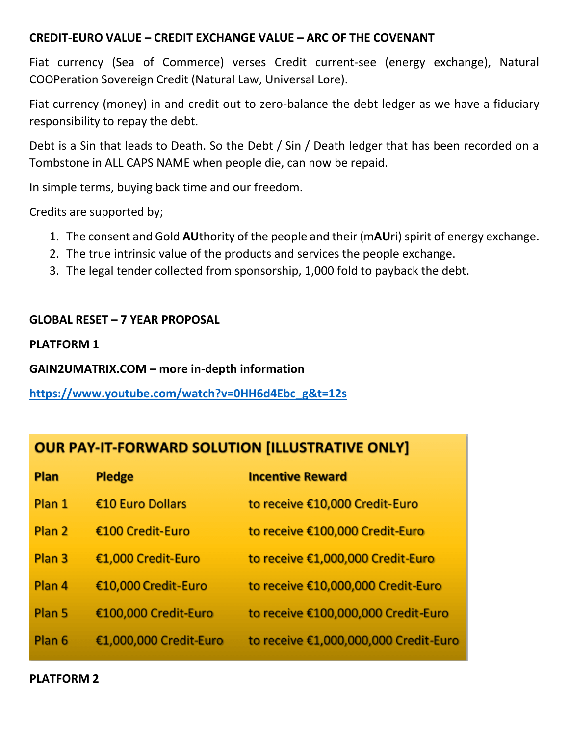#### **CREDIT-EURO VALUE – CREDIT EXCHANGE VALUE – ARC OF THE COVENANT**

Fiat currency (Sea of Commerce) verses Credit current-see (energy exchange), Natural COOPeration Sovereign Credit (Natural Law, Universal Lore).

Fiat currency (money) in and credit out to zero-balance the debt ledger as we have a fiduciary responsibility to repay the debt.

Debt is a Sin that leads to Death. So the Debt / Sin / Death ledger that has been recorded on a Tombstone in ALL CAPS NAME when people die, can now be repaid.

In simple terms, buying back time and our freedom.

Credits are supported by;

- 1. The consent and Gold **AU**thority of the people and their (m**AU**ri) spirit of energy exchange.
- 2. The true intrinsic value of the products and services the people exchange.
- 3. The legal tender collected from sponsorship, 1,000 fold to payback the debt.

# **GLOBAL RESET – 7 YEAR PROPOSAL**

**PLATFORM 1**

**GAIN2UMATRIX.COM – more in-depth information**

**[https://www.youtube.com/watch?v=0HH6d4Ebc\\_g&t=12s](https://www.youtube.com/watch?v=0HH6d4Ebc_g&t=12s)**

# **OUR PAY-IT-FORWARD SOLUTION [ILLUSTRATIVE ONLY]**

| Plan              | <b>Pledge</b>          | <b>Incentive Reward</b>               |
|-------------------|------------------------|---------------------------------------|
| Plan 1            | €10 Euro Dollars       | to receive €10,000 Credit-Euro        |
| Plan <sub>2</sub> | €100 Credit-Euro       | to receive €100,000 Credit-Euro       |
| Plan <sub>3</sub> | €1,000 Credit-Euro     | to receive €1,000,000 Credit-Euro     |
| Plan 4            | €10,000 Credit-Euro    | to receive €10,000,000 Credit-Euro    |
| Plan <sub>5</sub> | €100,000 Credit-Euro   | to receive €100,000,000 Credit-Euro   |
| Plan <sub>6</sub> | €1,000,000 Credit-Euro | to receive €1,000,000,000 Credit-Euro |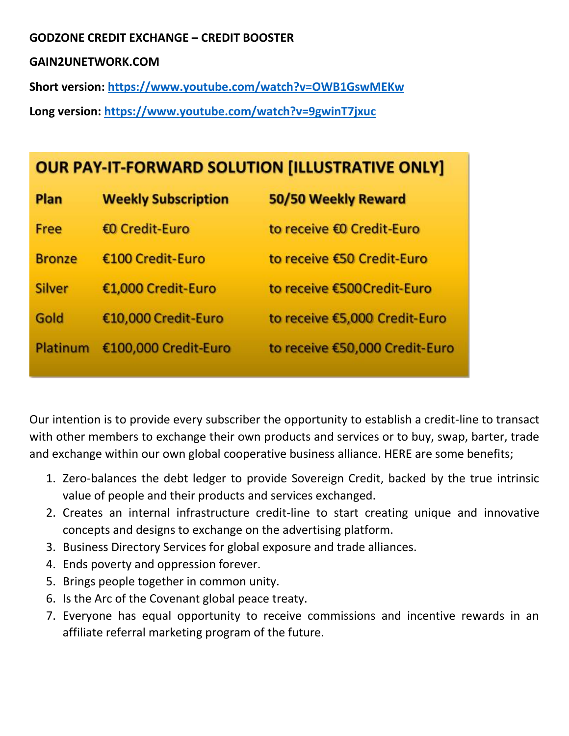### **GODZONE CREDIT EXCHANGE – CREDIT BOOSTER**

#### **GAIN2UNETWORK.COM**

**Short version: <https://www.youtube.com/watch?v=OWB1GswMEKw>**

**Long version:<https://www.youtube.com/watch?v=9gwinT7jxuc>**

# **OUR PAY-IT-FORWARD SOLUTION [ILLUSTRATIVE ONLY]**

| Plan          | <b>Weekly Subscription</b> | 50/50 Weekly Reward            |
|---------------|----------------------------|--------------------------------|
| Free          | €0 Credit-Euro             | to receive €0 Credit-Euro      |
| <b>Bronze</b> | €100 Credit-Euro           | to receive €50 Credit-Euro     |
| <b>Silver</b> | €1,000 Credit-Euro         | to receive €500Credit-Euro     |
| Gold          | €10,000 Credit-Euro        | to receive €5,000 Credit-Euro  |
| Platinum      | €100,000 Credit-Euro       | to receive €50,000 Credit-Euro |

Our intention is to provide every subscriber the opportunity to establish a credit-line to transact with other members to exchange their own products and services or to buy, swap, barter, trade and exchange within our own global cooperative business alliance. HERE are some benefits;

- 1. Zero-balances the debt ledger to provide Sovereign Credit, backed by the true intrinsic value of people and their products and services exchanged.
- 2. Creates an internal infrastructure credit-line to start creating unique and innovative concepts and designs to exchange on the advertising platform.
- 3. Business Directory Services for global exposure and trade alliances.
- 4. Ends poverty and oppression forever.
- 5. Brings people together in common unity.
- 6. Is the Arc of the Covenant global peace treaty.
- 7. Everyone has equal opportunity to receive commissions and incentive rewards in an affiliate referral marketing program of the future.